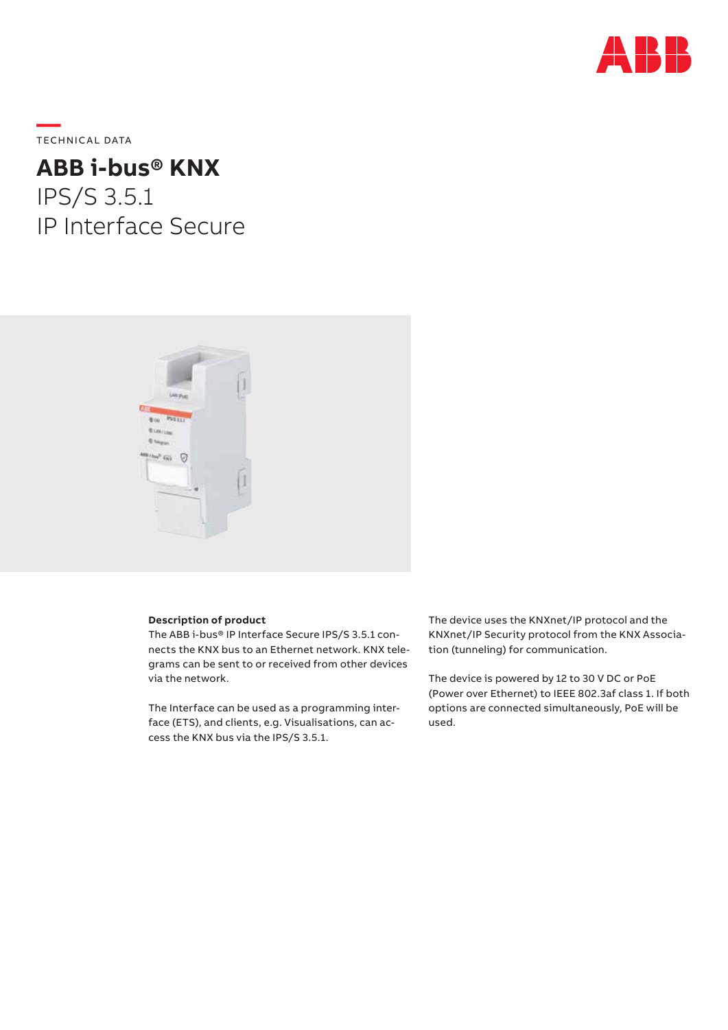

**—**  TECHNICAL DATA

# **ABB i-bus® KNX** IPS/S 3.5.1 IP Interface Secure



# **Description of product**

The ABB i-bus® IP Interface Secure IPS/S 3.5.1 connects the KNX bus to an Ethernet network. KNX telegrams can be sent to or received from other devices via the network.

The Interface can be used as a programming interface (ETS), and clients, e.g. Visualisations, can access the KNX bus via the IPS/S 3.5.1.

The device uses the KNXnet/IP protocol and the KNXnet/IP Security protocol from the KNX Association (tunneling) for communication.

The device is powered by 12 to 30 V DC or PoE (Power over Ethernet) to IEEE 802.3af class 1. If both options are connected simultaneously, PoE will be used.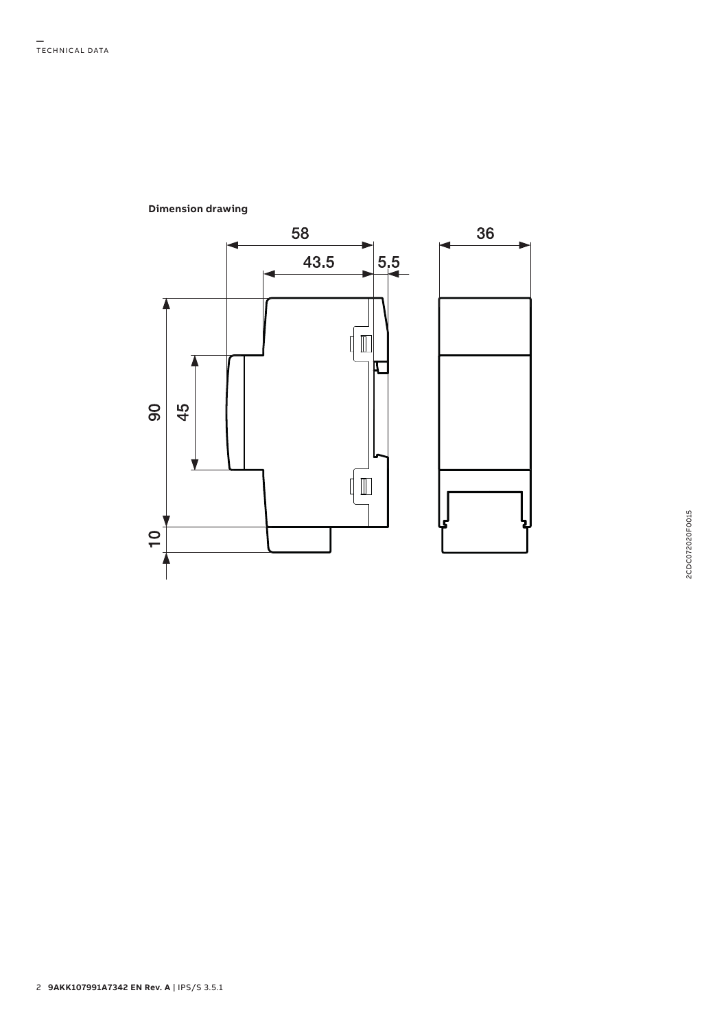

# **Dimension drawing**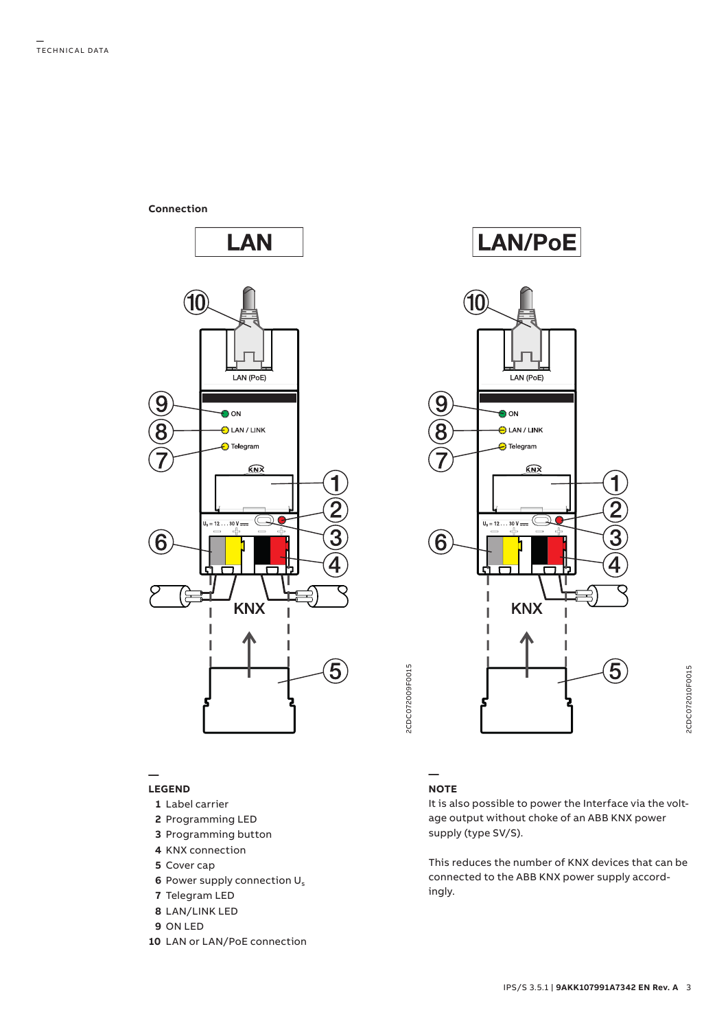**Connection**



### **— LEGEND**

- **1** Label carrier
- **2** Programming LED
- **3** Programming button
- **4** KNX connection
- **5** Cover cap
- **6** Power supply connection U<sub>s</sub>
- **7** Telegram LED
- **8** LAN/LINK LED
- **9** ON LED
- **10** LAN or LAN/PoE connection





# **NOTE**

**—**

It is also possible to power the Interface via the voltage output without choke of an ABB KNX power supply (type SV/S).

This reduces the number of KNX devices that can be connected to the ABB KNX power supply accordingly.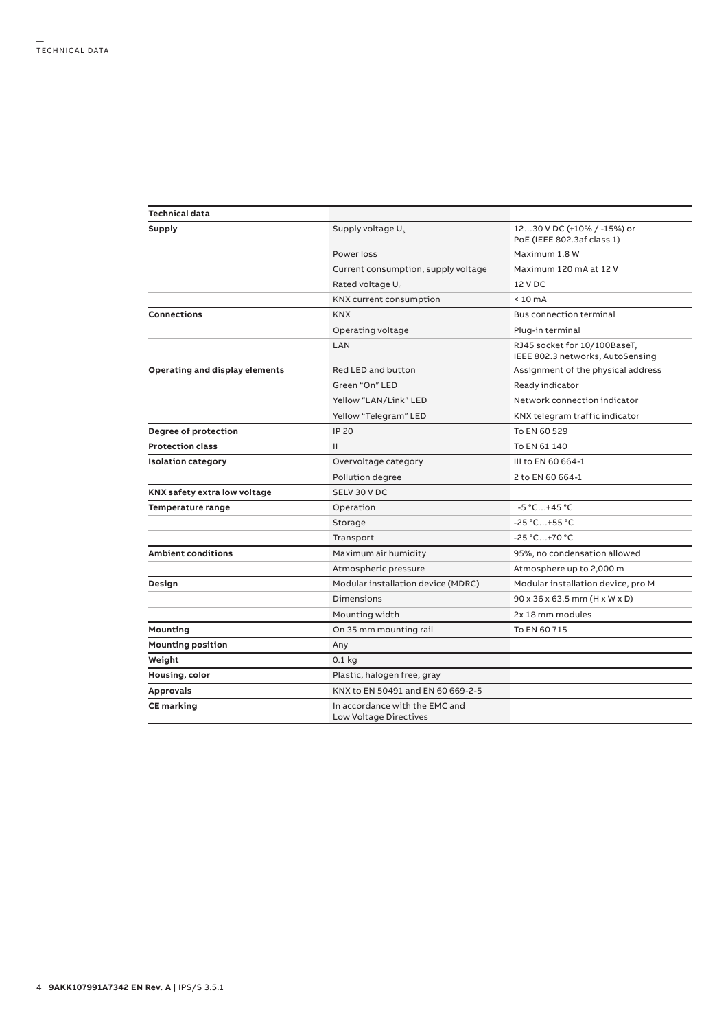| Technical data                 |                                                                 |                                                                  |
|--------------------------------|-----------------------------------------------------------------|------------------------------------------------------------------|
| Supply                         | Supply voltage U <sub>s</sub>                                   | 1230 V DC (+10% / -15%) or<br>PoE (IEEE 802.3af class 1)         |
|                                | Power loss                                                      | Maximum 1.8 W                                                    |
|                                | Current consumption, supply voltage                             | Maximum 120 mA at 12 V                                           |
|                                | Rated voltage U <sub>n</sub>                                    | 12 V DC                                                          |
|                                | <b>KNX current consumption</b>                                  | $< 10 \text{ mA}$                                                |
| Connections                    | <b>KNX</b>                                                      | <b>Bus connection terminal</b>                                   |
|                                | Operating voltage                                               | Plug-in terminal                                                 |
|                                | LAN                                                             | RJ45 socket for 10/100BaseT,<br>IEEE 802.3 networks, AutoSensing |
| Operating and display elements | Red LED and button                                              | Assignment of the physical address                               |
|                                | Green "On" LED                                                  | Ready indicator                                                  |
|                                | Yellow "LAN/Link" LED                                           | Network connection indicator                                     |
|                                | Yellow "Telegram" LED                                           | KNX telegram traffic indicator                                   |
| <b>Degree of protection</b>    | <b>IP 20</b>                                                    | To EN 60 529                                                     |
| <b>Protection class</b>        | $\mathbf{H}$                                                    | To EN 61 140                                                     |
| <b>Isolation category</b>      | Overvoltage category                                            | III to EN 60 664-1                                               |
|                                | Pollution degree                                                | 2 to EN 60 664-1                                                 |
| KNX safety extra low voltage   | SELV 30 V DC                                                    |                                                                  |
| <b>Temperature range</b>       | Operation                                                       | $-5 °C+45 °C$                                                    |
|                                | Storage                                                         | $-25 °C+55 °C$                                                   |
|                                | Transport                                                       | $-25 °C+70 °C$                                                   |
| <b>Ambient conditions</b>      | Maximum air humidity                                            | 95%, no condensation allowed                                     |
|                                | Atmospheric pressure                                            | Atmosphere up to 2,000 m                                         |
| Design                         | Modular installation device (MDRC)                              | Modular installation device, pro M                               |
|                                | <b>Dimensions</b>                                               | $90 \times 36 \times 63.5$ mm (H x W x D)                        |
|                                | Mounting width                                                  | 2x 18 mm modules                                                 |
| Mounting                       | On 35 mm mounting rail                                          | To EN 60 715                                                     |
| <b>Mounting position</b>       | Any                                                             |                                                                  |
| Weight                         | $0.1$ kg                                                        |                                                                  |
| Housing, color                 | Plastic, halogen free, gray                                     |                                                                  |
| <b>Approvals</b>               | KNX to EN 50491 and EN 60 669-2-5                               |                                                                  |
| <b>CE</b> marking              | In accordance with the EMC and<br><b>Low Voltage Directives</b> |                                                                  |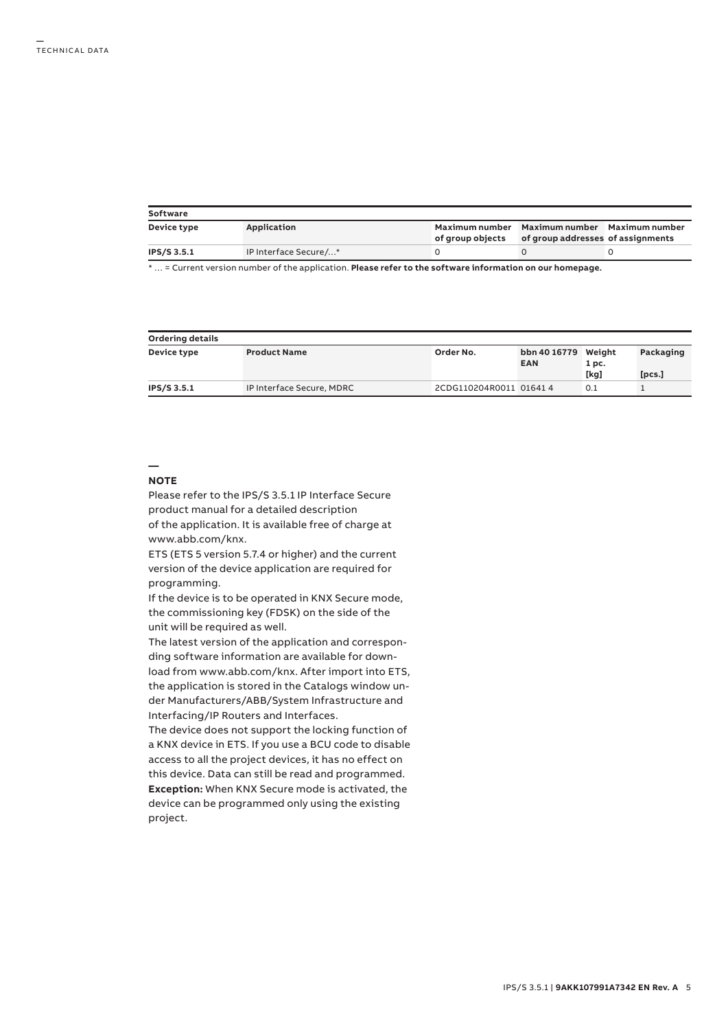| Software    |                       |                  |                                                                                   |  |  |  |  |
|-------------|-----------------------|------------------|-----------------------------------------------------------------------------------|--|--|--|--|
| Device type | Application           | of group objects | Maximum number Maximum number Maximum number<br>of group addresses of assignments |  |  |  |  |
| IPS/S 3.5.1 | IP Interface Secure/* |                  |                                                                                   |  |  |  |  |

\* … = Current version number of the application. **Please refer to the software information on our homepage.**

| Ordering details |                           |                        |                                   |       |           |  |  |  |
|------------------|---------------------------|------------------------|-----------------------------------|-------|-----------|--|--|--|
| Device type      | <b>Product Name</b>       | Order No.              | bbn 40 16779 Weight<br><b>EAN</b> | 1 pc. | Packaging |  |  |  |
|                  |                           |                        |                                   | [kg]  | [pcs.]    |  |  |  |
| IPS/S 3.5.1      | IP Interface Secure, MDRC | 2CDG110204R0011 016414 |                                   | 0.1   |           |  |  |  |

## **— NOTE**

Please refer to the IPS/S 3.5.1 IP Interface Secure product manual for a detailed description of the application. It is available free of charge at www.abb.com/knx.

ETS (ETS 5 version 5.7.4 or higher) and the current version of the device application are required for programming.

If the device is to be operated in KNX Secure mode, the commissioning key (FDSK) on the side of the unit will be required as well.

The latest version of the application and corresponding software information are available for download from www.abb.com/knx. After import into ETS, the application is stored in the Catalogs window under Manufacturers/ABB/System Infrastructure and Interfacing/IP Routers and Interfaces.

The device does not support the locking function of a KNX device in ETS. If you use a BCU code to disable access to all the project devices, it has no effect on this device. Data can still be read and programmed. **Exception:** When KNX Secure mode is activated, the device can be programmed only using the existing project.